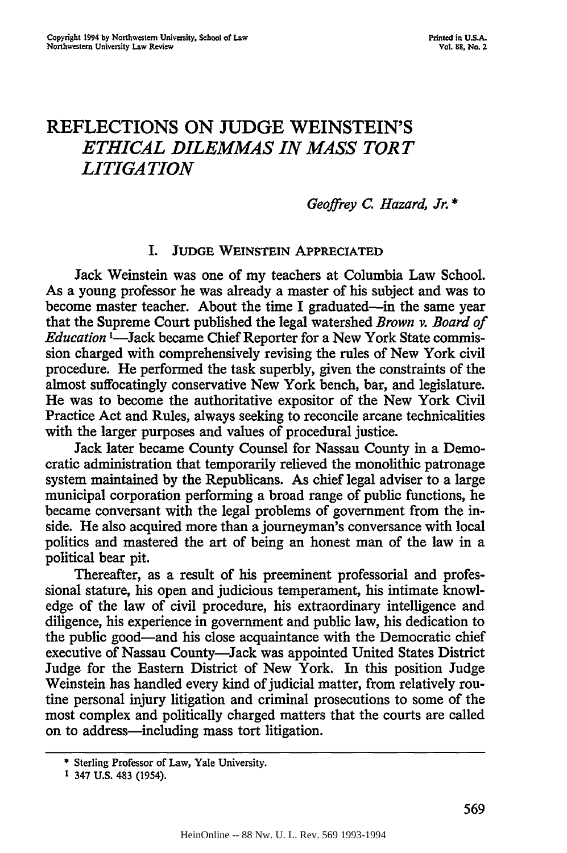# REFLECTIONS **ON JUDGE** WEINSTEIN'S *ETHICAL DILEMMAS IN MASS TORT LITIGATION*

*Geoffrey C. Hazard, Jr. \**

## I. **JUDGE** WEINSTEIN **APPRECIATED**

Jack Weinstein was one of my teachers at Columbia Law School. As a young professor he was already a master of his subject and was to become master teacher. About the time I graduated-in the same year that the Supreme Court published the legal watershed *Brown v. Board of Education* <sup>1</sup>—Jack became Chief Reporter for a New York State commission charged with comprehensively revising the rules of New York civil procedure. He performed the task superbly, given the constraints of the almost suffocatingly conservative New York bench, bar, and legislature. He was to become the authoritative expositor of the New York Civil Practice Act and Rules, always seeking to reconcile arcane technicalities with the larger purposes and values of procedural justice.

Jack later became County Counsel for Nassau County in a Democratic administration that temporarily relieved the monolithic patronage system maintained by the Republicans. As chief legal adviser to a large municipal corporation performing a broad range of public functions, he became conversant with the legal problems of government from the inside. He also acquired more than a journeyman's conversance with local politics and mastered the art of being an honest man of the law in a political bear pit.

Thereafter, as a result of his preeminent professorial and professional stature, his open and judicious temperament, his intimate knowledge of the law of civil procedure, his extraordinary intelligence and diligence, his experience in government and public law, his dedication to the public good-and his close acquaintance with the Democratic chief executive of Nassau County-Jack was appointed United States District Judge for the Eastern District of New York. In this position Judge Weinstein has handled every kind of judicial matter, from relatively routine personal injury litigation and criminal prosecutions to some of the most complex and politically charged matters that the courts are called on to address-including mass tort litigation.

<sup>•</sup> Sterling **Professor of** Law, **Yale** University.

**<sup>1</sup>** 347 U.S. 483 (1954).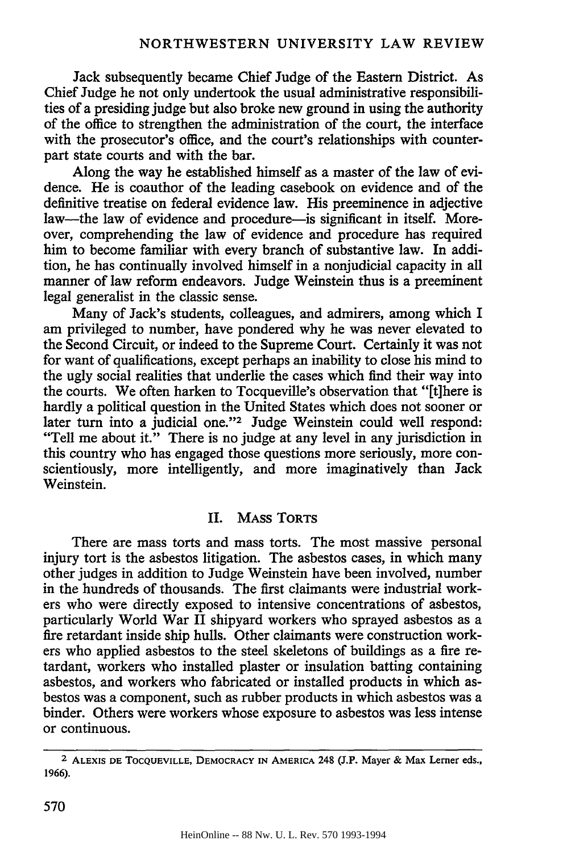Jack subsequently became Chief Judge of the Eastern District. As Chief Judge he not only undertook the usual administrative responsibilities of a presiding judge but also broke new ground in using the authority of the office to strengthen the administration of the court, the interface with the prosecutor's office, and the court's relationships with counterpart state courts and with the bar.

Along the way he established himself as a master of the law of evidence. He is coauthor of the leading casebook on evidence and of the definitive treatise on federal evidence law. His preeminence in adjective law--the law of evidence and procedure-is significant in itself. Moreover, comprehending the law of evidence and procedure has required him to become familiar with every branch of substantive law. In addition, he has continually involved himself in a nonjudicial capacity in all manner of law reform endeavors. Judge Weinstein thus is a preeminent legal generalist in the classic sense.

Many of Jack's students, colleagues, and admirers, among which I am privileged to number, have pondered why he was never elevated to the Second Circuit, or indeed to the Supreme Court. Certainly it was not for want of qualifications, except perhaps an inability to close his mind to the ugly social realities that underlie the cases which find their way into the courts. We often harken to Tocqueville's observation that "[t]here is hardly a political question in the United States which does not sooner or later turn into a judicial one."<sup>2</sup> Judge Weinstein could well respond: "Tell me about it." There is no judge at any level in any jurisdiction in this country who has engaged those questions more seriously, more conscientiously, more intelligently, and more imaginatively than Jack Weinstein.

## II. MAss TORTS

There are mass torts and mass torts. The most massive personal injury tort is the asbestos litigation. The asbestos cases, in which many other judges in addition to Judge Weinstein have been involved, number in the hundreds of thousands. The first claimants were industrial workers who were directly exposed to intensive concentrations of asbestos, particularly World War II shipyard workers who sprayed asbestos as a fire retardant inside ship hulls. Other claimants were construction workers who applied asbestos to the steel skeletons of buildings as a fire retardant, workers who installed plaster or insulation batting containing asbestos, and workers who fabricated or installed products in which asbestos was a component, such as rubber products in which asbestos was a binder. Others were workers whose exposure to asbestos was less intense or continuous.

<sup>2</sup> **ALEXIS DE TOCQUEVILLE, DEMOCRACY IN AMERICA 248 (J.P. Mayer & Max Lerner eds., 1966).**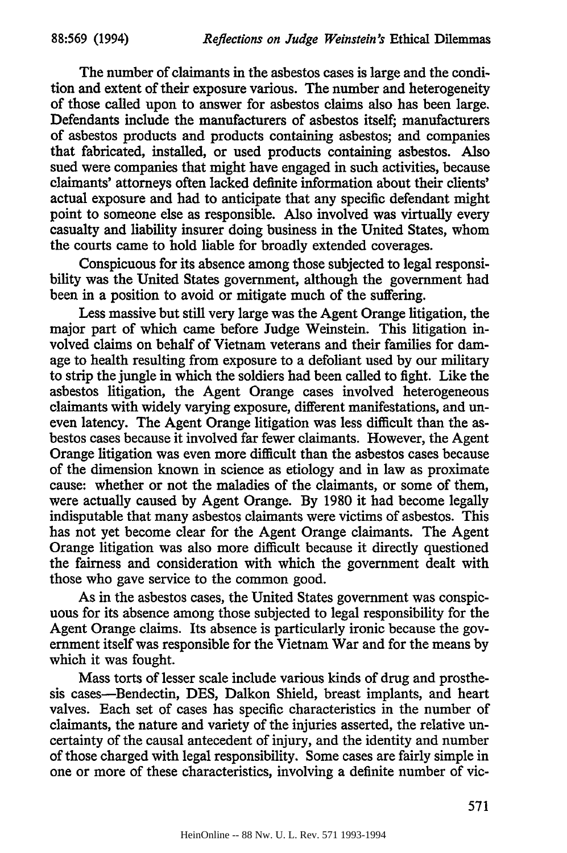The number of claimants in the asbestos cases is large and the condition and extent of their exposure various. The number and heterogeneity of those called upon to answer for asbestos claims also has been large. Defendants include the manufacturers of asbestos itself; manufacturers of asbestos products and products containing asbestos; and companies that fabricated, installed, or used products containing asbestos. Also sued were companies that might have engaged in such activities, because claimants' attorneys often lacked definite information about their clients' actual exposure and had to anticipate that any specific defendant might point to someone else as responsible. Also involved was virtually every casualty and liability insurer doing business in the United States, whom the courts came to hold liable for broadly extended coverages.

Conspicuous for its absence among those subjected to legal responsibility was the United States government, although the government had been in a position to avoid or mitigate much of the suffering.

Less massive but still very large was the Agent Orange litigation, the major part of which came before Judge Weinstein. This litigation involved claims on behalf of Vietnam veterans and their families for damage to health resulting from exposure to a defoliant used **by** our military to strip the jungle in which the soldiers had been called to fight. Like the asbestos litigation, the Agent Orange cases involved heterogeneous claimants with widely varying exposure, different manifestations, and uneven latency. The Agent Orange litigation was less difficult than the asbestos cases because it involved far fewer claimants. However, the Agent Orange litigation was even more difficult than the asbestos cases because of the dimension known in science as etiology and in law as proximate cause: whether or not the maladies of the claimants, or some of them, were actually caused by Agent Orange. By 1980 it had become legally indisputable that many asbestos claimants were victims of asbestos. This has not yet become clear for the Agent Orange claimants. The Agent Orange litigation was also more difficult because it directly questioned the fairness and consideration with which the government dealt with those who gave service to the common good.

As in the asbestos cases, the United States government was conspicuous for its absence among those subjected to legal responsibility for the Agent Orange claims. Its absence is particularly ironic because the government itself was responsible for the Vietnam War and for the means by which it was fought.

Mass torts of lesser scale include various kinds of drug and prosthesis cases-Bendectin, DES, Dalkon Shield, breast implants, and heart valves. Each set of cases has specific characteristics in the number of claimants, the nature and variety of the injuries asserted, the relative uncertainty of the causal antecedent of injury, and the identity and number of those charged with legal responsibility. Some cases are fairly simple in one or more of these characteristics, involving a definite number of vic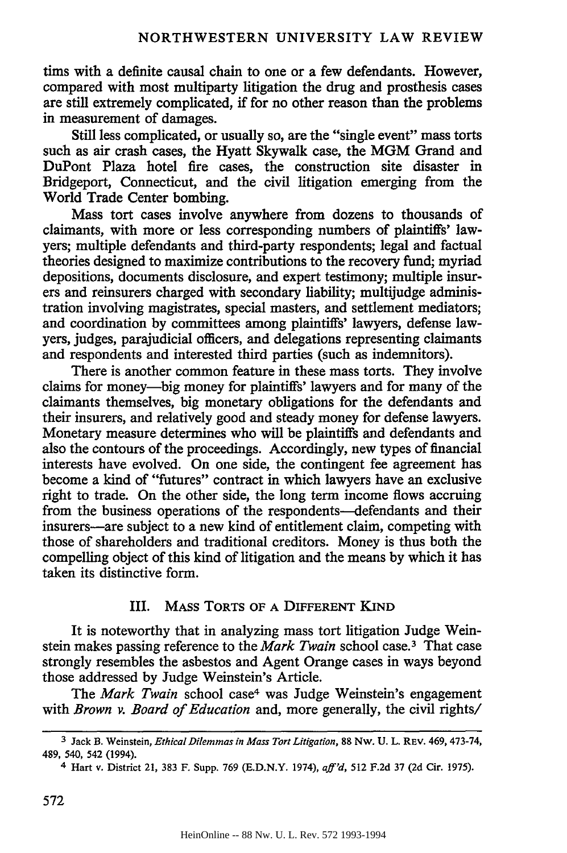tims with a definite causal chain to one or a few defendants. However, compared with most multiparty litigation the drug and prosthesis cases are still extremely complicated, if for no other reason than the problems in measurement of damages.

Still less complicated, or usually so, are the "single event" mass torts such as air crash cases, the Hyatt Skywalk case, the MGM Grand and DuPont Plaza hotel fire cases, the construction site disaster in Bridgeport, Connecticut, and the civil litigation emerging from the World Trade Center bombing.

Mass tort cases involve anywhere from dozens to thousands of claimants, with more or less corresponding numbers of plaintiffs' lawyers; multiple defendants and third-party respondents; legal and factual theories designed to maximize contributions to the recovery fund; myriad depositions, documents disclosure, and expert testimony; multiple insurers and reinsurers charged with secondary liability; multijudge administration involving magistrates, special masters, and settlement mediators; and coordination by committees among plaintiffs' lawyers, defense lawyers, judges, parajudicial officers, and delegations representing claimants and respondents and interested third parties (such as indemnitors).

There is another common feature in these mass torts. They involve claims for money-big money for plaintiffs' lawyers and for many of the claimants themselves, big monetary obligations for the defendants and their insurers, and relatively good and steady money for defense lawyers. Monetary measure determines who will be plaintiffs and defendants and also the contours of the proceedings. Accordingly, new types of financial interests have evolved. On one side, the contingent fee agreement has become a kind of "futures" contract in which lawyers have an exclusive right to trade. On the other side, the long term income flows accruing from the business operations of the respondents—defendants and their insurers-are subject to a new kind of entitlement claim, competing with those of shareholders and traditional creditors. Money is thus both the compelling object of this kind of litigation and the means by which it has taken its distinctive form.

## III. MASS TORTS OF **A** DIFFERENT **KIND**

It is noteworthy that in analyzing mass tort litigation Judge Weinstein makes passing reference to the *Mark Twain* school case. 3 That case strongly resembles the asbestos and Agent Orange cases in ways beyond those addressed **by** Judge Weinstein's Article.

*The Mark Twain* school case4 was Judge Weinstein's engagement with *Brown v. Board of Education* and, more generally, the civil rights/

**<sup>3</sup>** Jack **B.** Weinstein, *EthicalDilemmas in Mass Tort Litigation,* **88** Nw. **U.** L. REV. 469, **473-74,** 489, 540, **542** (1994).

<sup>4</sup> Hart **v.** District 21, **383 F.** Supp. **769 (E.D.N.Y.** 1974), *aff'd,* **512 F.2d 37 (2d** Cir. **1975).**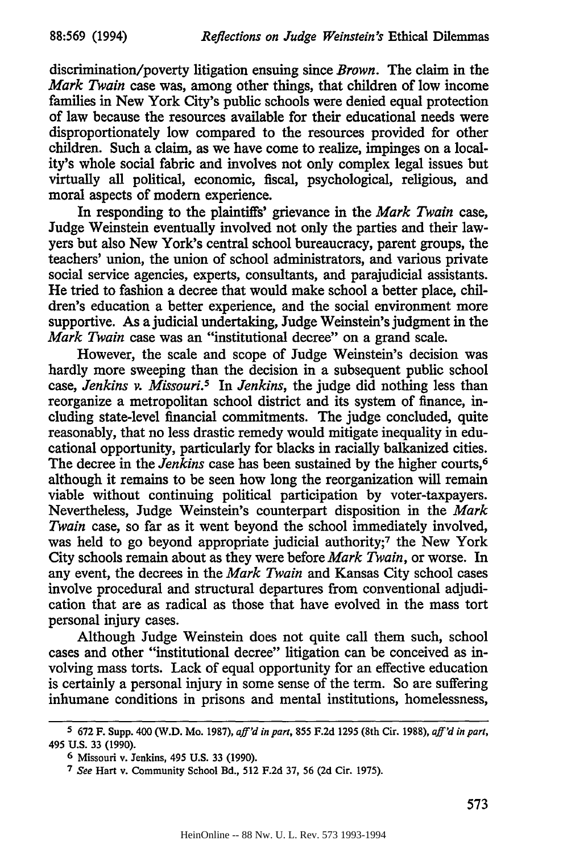discrimination/poverty litigation ensuing since *Brown.* The claim in the *Mark Twain* case was, among other things, that children of low income families in New York City's public schools were denied equal protection of law because the resources available for their educational needs were disproportionately low compared to the resources provided for other children. Such a claim, as we have come to realize, impinges on a locality's whole social fabric and involves not only complex legal issues but virtually all political, economic, fiscal, psychological, religious, and moral aspects of modem experience.

In responding to the plaintiffs' grievance in the *Mark Twain* case, Judge Weinstein eventually involved not only the parties and their lawyers but also New York's central school bureaucracy, parent groups, the teachers' union, the union of school administrators, and various private social service agencies, experts, consultants, and parajudicial assistants. He tried to fashion a decree that would make school a better place, children's education a better experience, and the social environment more supportive. As a judicial undertaking, Judge Weinstein's judgment in the *Mark Twain* case was an "institutional decree" on a grand scale.

However, the scale and scope of Judge Weinstein's decision was hardly more sweeping than the decision in a subsequent public school *case, Jenkins v. Missouri.5* In *Jenkins,* the judge did nothing less than reorganize a metropolitan school district and its system of finance, including state-level financial commitments. The judge concluded, quite reasonably, that no less drastic remedy would mitigate inequality in educational opportunity, particularly for blacks in racially balkanized cities. The decree in the *Jenkins* case has been sustained by the higher courts,<sup>6</sup> although it remains to be seen how long the reorganization will remain viable without continuing political participation by voter-taxpayers. Nevertheless, Judge Weinstein's counterpart disposition in the *Mark Twain* case, so far as it went beyond the school immediately involved, was held to go beyond appropriate judicial authority;<sup>7</sup> the New York City schools remain about as they were before *Mark Twain,* or worse. In any event, the decrees in the *Mark Twain* and Kansas City school cases involve procedural and structural departures from conventional adjudication that are as radical as those that have evolved in the mass tort personal injury cases.

Although Judge Weinstein does not quite call them such, school cases and other "institutional decree" litigation can be conceived as involving mass torts. Lack of equal opportunity for an effective education is certainly a personal injury in some sense of the term. So are suffering inhumane conditions in prisons and mental institutions, homelessness,

**<sup>5</sup> 672** F. Supp. 400 (W.D. Mo. **1987),** *aff'd in part,* **855 F.2d 1295** (8th Cir. **1988),** *aff'd in part,* 495 **U.S. 33 (1990).**

**<sup>6</sup>** Missouri v. Jenkins, 495 U.S. **33** (1990).

**<sup>7</sup>***See* Hart v. Community School Bd., 512 F.2d **37, 56** (2d Cir. 1975).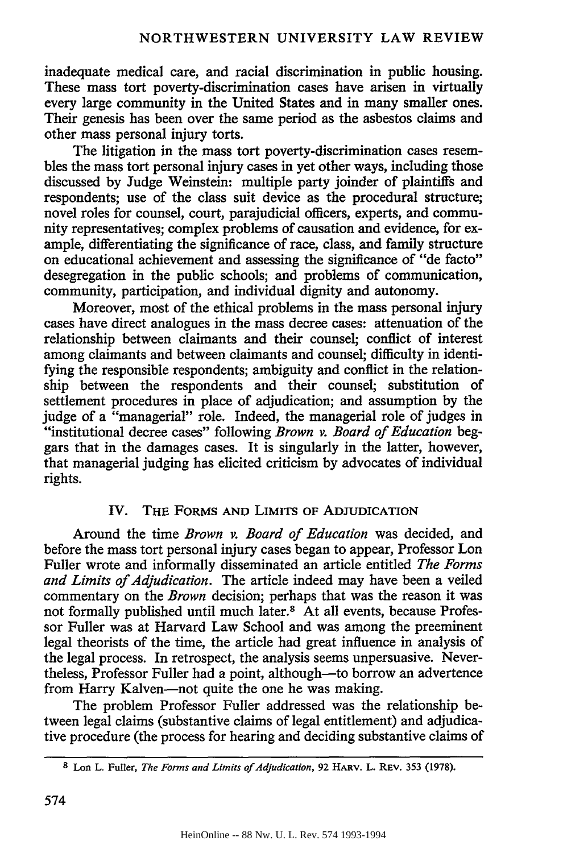inadequate medical care, and racial discrimination in public housing. These mass tort poverty-discrimination cases have arisen in virtually every large community in the United States and in many smaller ones. Their genesis has been over the same period as the asbestos claims and other mass personal injury torts.

The litigation in the mass tort poverty-discrimination cases resembles the mass tort personal injury cases in yet other ways, including those discussed by Judge Weinstein: multiple party joinder of plaintiffs and respondents; use of the class suit device as the procedural structure; novel roles for counsel, court, parajudicial officers, experts, and community representatives; complex problems of causation and evidence, for example, differentiating the significance of race, class, and family structure on educational achievement and assessing the significance of "de facto" desegregation in the public schools; and problems of communication, community, participation, and individual dignity and autonomy.

Moreover, most of the ethical problems in the mass personal injury cases have direct analogues in the mass decree cases: attenuation of the relationship between claimants and their counsel; conflict of interest among claimants and between claimants and counsel; difficulty in identifying the responsible respondents; ambiguity and conflict in the relationship between the respondents and their counsel; substitution of settlement procedures in place of adjudication; and assumption by the judge of a "managerial" role. Indeed, the managerial role of judges in "institutional decree cases" following *Brown v. Board of Education* beggars that in the damages cases. It is singularly in the latter, however, that managerial judging has elicited criticism by advocates of individual rights.

## IV. THE FORMS **AND** LIMITS OF **ADJUDICATION**

Around the time *Brown v. Board of Education* was decided, and before the mass tort personal injury cases began to appear, Professor Lon Fuller wrote and informally disseminated an article entitled *The Forms and Limits of Adjudication.* The article indeed may have been a veiled commentary on the *Brown* decision; perhaps that was the reason it was not formally published until much later.<sup>8</sup> At all events, because Professor Fuller was at Harvard Law School and was among the preeminent legal theorists of the time, the article had great influence in analysis of the legal process. In retrospect, the analysis seems unpersuasive. Nevertheless, Professor Fuller had a point, although—to borrow an advertence from Harry Kalven-not quite the one he was making.

The problem Professor Fuller addressed was the relationship between legal claims (substantive claims of legal entitlement) and adjudicative procedure (the process for hearing and deciding substantive claims of

**<sup>8</sup>**Lon L. Fuller, *The Forms and Limits of Adjudication,* 92 HARV. **L. REV.** 353 **(1978).**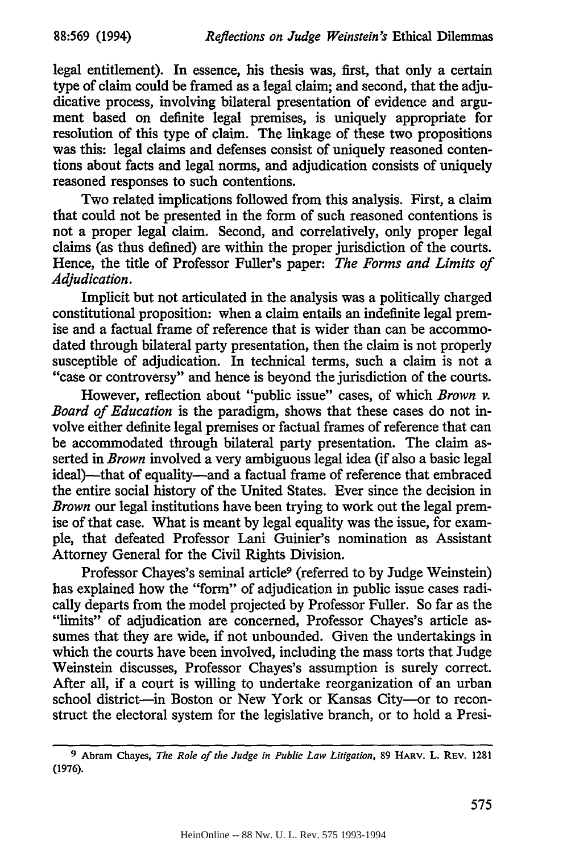legal entitlement). In essence, his thesis was, first, that only a certain type of claim could be framed as a legal claim; and second, that the adjudicative process, involving bilateral presentation of evidence and argument based on definite legal premises, is uniquely appropriate for resolution of this type of claim. The linkage of these two propositions was this: legal claims and defenses consist of uniquely reasoned contentions about facts and legal norms, and adjudication consists of uniquely reasoned responses to such contentions.

Two related implications followed from this analysis. First, a claim that could not be presented in the form of such reasoned contentions is not a proper legal claim. Second, and correlatively, only proper legal claims (as thus defined) are within the proper jurisdiction of the courts. Hence, the title of Professor Fuller's paper: *The Forms and Limits of Adjudication.*

Implicit but not articulated in the analysis was a politically charged constitutional proposition: when a claim entails an indefinite legal premise and a factual frame of reference that is wider than can be accommodated through bilateral party presentation, then the claim is not properly susceptible of adjudication. In technical terms, such a claim is not a "case or controversy" and hence is beyond the jurisdiction of the courts.

However, reflection about "public issue" cases, of which *Brown v. Board of Education* is the paradigm, shows that these cases do not involve either definite legal premises or factual frames of reference that can be accommodated through bilateral party presentation. The claim asserted in *Brown* involved a very ambiguous legal idea (if also a basic legal ideal)—that of equality—and a factual frame of reference that embraced the entire social history of the United States. Ever since the decision in *Brown* our legal institutions have been trying to work out the legal premise of that case. What is meant by legal equality was the issue, for example, that defeated Professor Lani Guinier's nomination as Assistant Attorney General for the Civil Rights Division.

Professor Chayes's seminal article<sup>9</sup> (referred to by Judge Weinstein) has explained how the "form" of adjudication in public issue cases radically departs from the model projected by Professor Fuller. So far as the "limits" of adjudication are concerned, Professor Chayes's article assumes that they are wide, if not unbounded. Given the undertakings in which the courts have been involved, including the mass torts that Judge Weinstein discusses, Professor Chayes's assumption is surely correct. After all, if a court is willing to undertake reorganization of an urban school district-in Boston or New York or Kansas City-or to reconstruct the electoral system for the legislative branch, or to hold a Presi-

**<sup>9</sup>** Abram Chayes, *The Role of the Judge in Public Law Litigation,* **89** HARv. L. REv. 1281 **(1976).**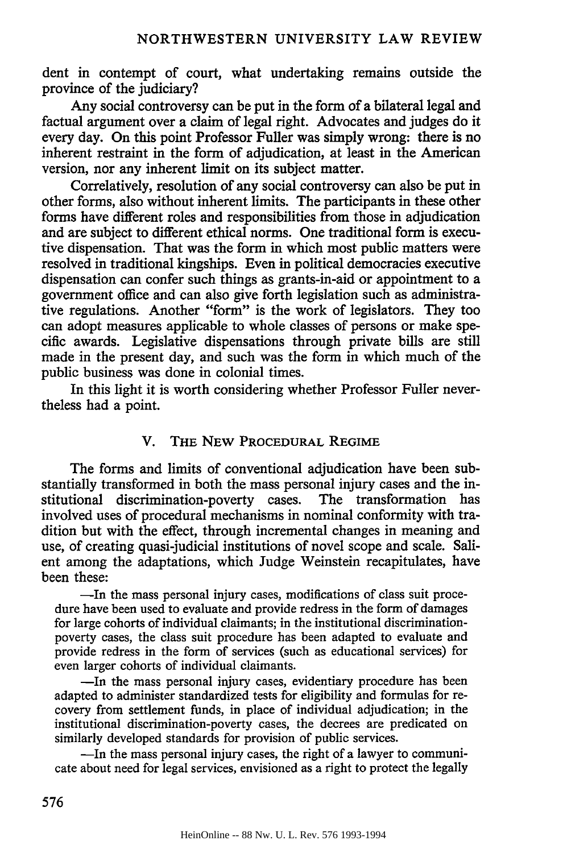dent in contempt of court, what undertaking remains outside the province of the judiciary?

Any social controversy can be put in the form of a bilateral legal and factual argument over a claim of legal right. Advocates and judges do it every day. On this point Professor Fuller was simply wrong: there is no inherent restraint in the form of adjudication, at least in the American version, nor any inherent limit on its subject matter.

Correlatively, resolution of any social controversy can also be put in other forms, also without inherent limits. The participants in these other forms have different roles and responsibilities from those in adjudication and are subject to different ethical norms. One traditional form is executive dispensation. That was the form in which most public matters were resolved in traditional kingships. Even in political democracies executive dispensation can confer such things as grants-in-aid or appointment to a government office and can also give forth legislation such as administrative regulations. Another "form" is the work of legislators. They too can adopt measures applicable to whole classes of persons or make specific awards. Legislative dispensations through private bills are still made in the present day, and such was the form in which much of the public business was done in colonial times.

In this light it is worth considering whether Professor Fuller nevertheless had a point.

#### V. THE NEW PROCEDURAL REGIME

The forms and limits of conventional adjudication have been substantially transformed in both the mass personal injury cases and the institutional discrimination-poverty cases. The transformation has involved uses of procedural mechanisms in nominal conformity with tradition but with the effect, through incremental changes in meaning and use, of creating quasi-judicial institutions of novel scope and scale. Salient among the adaptations, which Judge Weinstein recapitulates, have been these:

-In the mass personal injury cases, modifications of class suit procedure have been used to evaluate and provide redress in the form of damages for large cohorts of individual claimants; in the institutional discriminationpoverty cases, the class suit procedure has been adapted to evaluate and provide redress in the form of services (such as educational services) for even larger cohorts of individual claimants.

-In the mass personal injury cases, evidentiary procedure has been adapted to administer standardized tests for eligibility and formulas for recovery from settlement funds, in place of individual adjudication; in the institutional discrimination-poverty cases, the decrees are predicated on similarly developed standards for provision of public services.

-In the mass personal injury cases, the right of a lawyer to communicate about need for legal services, envisioned as a right to protect the legally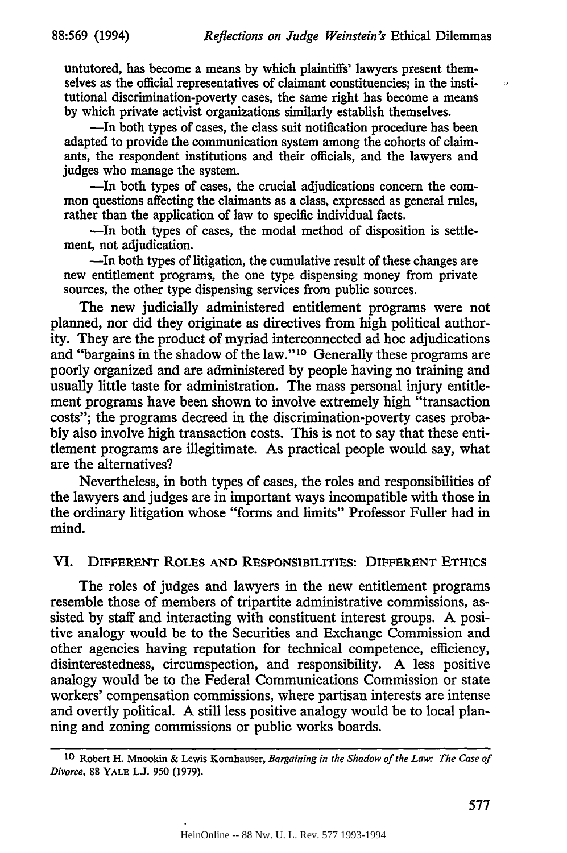$\ddot{\Omega}$ 

untutored, has become a means by which plaintiffs' lawyers present themselves as the official representatives of claimant constituencies; in the institutional discrimination-poverty cases, the same right has become a means by which private activist organizations similarly establish themselves.

-In both types of cases, the class suit notification procedure has been adapted to provide the communication system among the cohorts of claimants, the respondent institutions and their officials, and the lawyers and judges who manage the system.

-In both types of cases, the crucial adjudications concern the common questions affecting the claimants as a class, expressed as general rules, rather than the application of law to specific individual facts.

-In both types of cases, the modal method of disposition is settlement, not adjudication.

-In both types of litigation, the cumulative result of these changes are new entitlement programs, the one type dispensing money from private sources, the other type dispensing services from public sources.

The new judicially administered entitlement programs were not planned, nor did they originate as directives from high political authority. They are the product of myriad interconnected ad hoe adjudications and "bargains in the shadow of the law." 10 Generally these programs are poorly organized and are administered by people having no training and usually little taste for administration. The mass personal injury entitlement programs have been shown to involve extremely high "transaction costs"; the programs decreed in the discrimination-poverty cases probably also involve high transaction costs. This is not to say that these entitlement programs are illegitimate. As practical people would say, what are the alternatives?

Nevertheless, in both types of cases, the roles and responsibilities of the lawyers and judges are in important ways incompatible with those in the ordinary litigation whose "forms and limits" Professor Fuller had in mind.

#### **VI.** DIFFERENT ROLES **AND** RESPONSIBILITIES: DIFFERENT **ETHICS**

The roles of judges and lawyers in the new entitlement programs resemble those of members of tripartite administrative commissions, assisted **by** staff and interacting with constituent interest groups. **A** positive analogy would be to the Securities and Exchange Commission and other agencies having reputation for technical competence, efficiency, disinterestedness, circumspection, and responsibility. A less positive analogy would be to the Federal Communications Commission or state workers' compensation commissions, where partisan interests are intense and overtly political. A still less positive analogy would be to local planning and zoning commissions or public works boards.

**<sup>10</sup>** Robert H. Mnookin & Lewis Kornhauser, *Bargaining in the Shadow of the Law: The Case of Divorce,* 88 YALE L.J. 950 (1979).